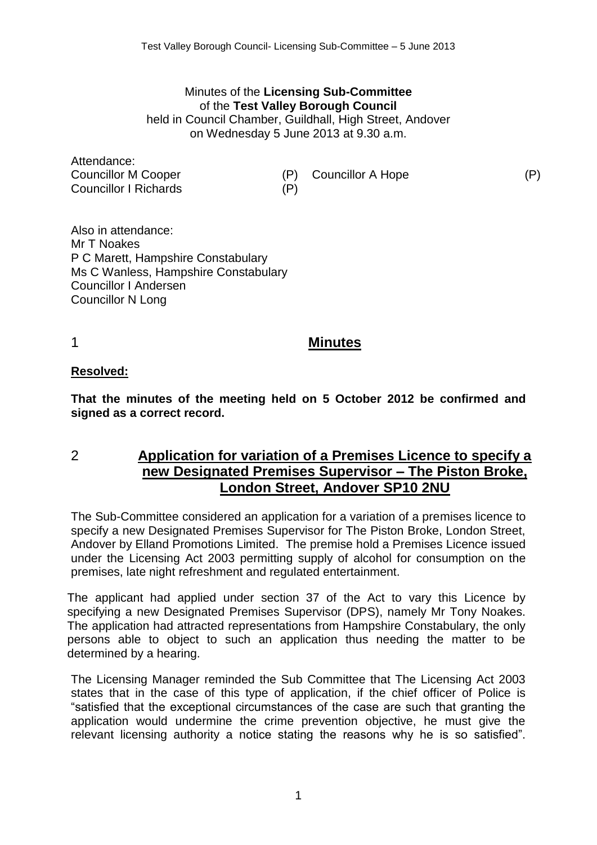#### Minutes of the **Licensing Sub-Committee** of the **Test Valley Borough Council** held in Council Chamber, Guildhall, High Street, Andover on Wednesday 5 June 2013 at 9.30 a.m.

Attendance: Councillor M Cooper (P) Councillor A Hope (P) Councillor I Richards (P)

Also in attendance: Mr T Noakes P C Marett, Hampshire Constabulary Ms C Wanless, Hampshire Constabulary Councillor I Andersen Councillor N Long

## 1 **Minutes**

### **Resolved:**

**That the minutes of the meeting held on 5 October 2012 be confirmed and signed as a correct record.**

# 2 **Application for variation of a Premises Licence to specify a new Designated Premises Supervisor – The Piston Broke, London Street, Andover SP10 2NU**

The Sub-Committee considered an application for a variation of a premises licence to specify a new Designated Premises Supervisor for The Piston Broke, London Street, Andover by Elland Promotions Limited. The premise hold a Premises Licence issued under the Licensing Act 2003 permitting supply of alcohol for consumption on the premises, late night refreshment and regulated entertainment.

The applicant had applied under section 37 of the Act to vary this Licence by specifying a new Designated Premises Supervisor (DPS), namely Mr Tony Noakes. The application had attracted representations from Hampshire Constabulary, the only persons able to object to such an application thus needing the matter to be determined by a hearing.

The Licensing Manager reminded the Sub Committee that The Licensing Act 2003 states that in the case of this type of application, if the chief officer of Police is "satisfied that the exceptional circumstances of the case are such that granting the application would undermine the crime prevention objective, he must give the relevant licensing authority a notice stating the reasons why he is so satisfied".